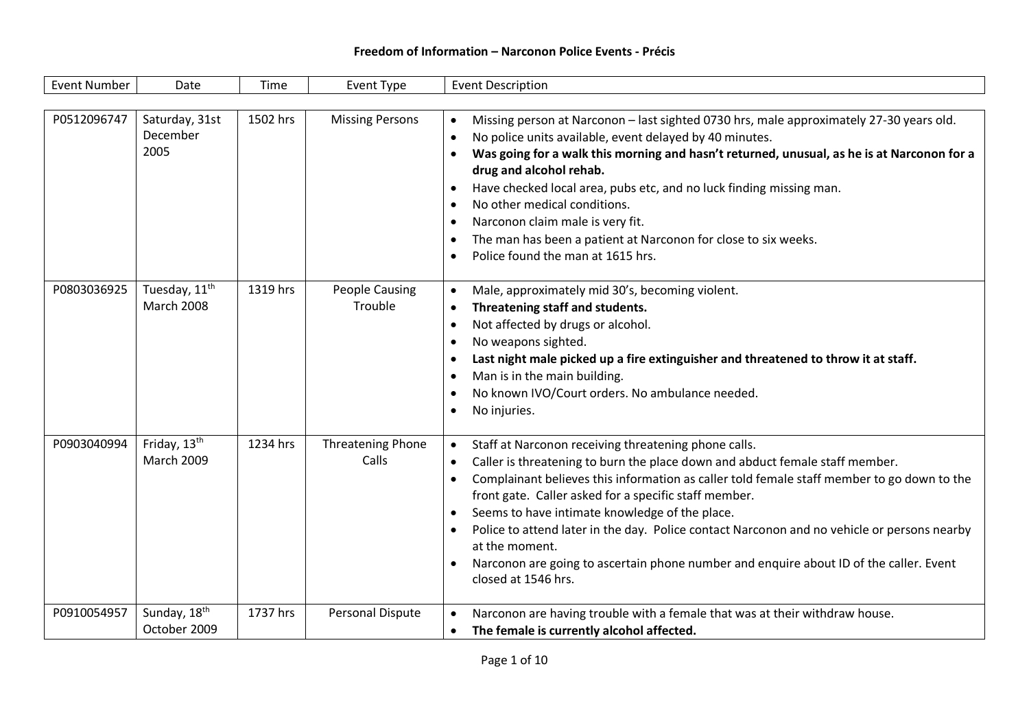| <b>Event Number</b> | Date                                          | Time     | Event Type                        | <b>Event Description</b>                                                                                                                                                                                                                                                                                                                                                                                                                                                                                                                                                                                                         |
|---------------------|-----------------------------------------------|----------|-----------------------------------|----------------------------------------------------------------------------------------------------------------------------------------------------------------------------------------------------------------------------------------------------------------------------------------------------------------------------------------------------------------------------------------------------------------------------------------------------------------------------------------------------------------------------------------------------------------------------------------------------------------------------------|
|                     |                                               |          |                                   |                                                                                                                                                                                                                                                                                                                                                                                                                                                                                                                                                                                                                                  |
| P0512096747         | Saturday, 31st<br>December<br>2005            | 1502 hrs | <b>Missing Persons</b>            | Missing person at Narconon - last sighted 0730 hrs, male approximately 27-30 years old.<br>$\bullet$<br>No police units available, event delayed by 40 minutes.<br>$\bullet$<br>Was going for a walk this morning and hasn't returned, unusual, as he is at Narconon for a<br>$\bullet$<br>drug and alcohol rehab.<br>Have checked local area, pubs etc, and no luck finding missing man.<br>٠<br>No other medical conditions.<br>٠<br>Narconon claim male is very fit.<br>$\bullet$<br>The man has been a patient at Narconon for close to six weeks.<br>٠<br>Police found the man at 1615 hrs.                                 |
| P0803036925         | Tuesday, 11 <sup>th</sup><br>March 2008       | 1319 hrs | <b>People Causing</b><br>Trouble  | Male, approximately mid 30's, becoming violent.<br>$\bullet$<br>Threatening staff and students.<br>$\bullet$<br>Not affected by drugs or alcohol.<br>$\bullet$<br>No weapons sighted.<br>٠<br>Last night male picked up a fire extinguisher and threatened to throw it at staff.<br>٠<br>Man is in the main building.<br>$\bullet$<br>No known IVO/Court orders. No ambulance needed.<br>٠<br>No injuries.<br>$\bullet$                                                                                                                                                                                                          |
| P0903040994         | Friday, 13 <sup>th</sup><br><b>March 2009</b> | 1234 hrs | <b>Threatening Phone</b><br>Calls | Staff at Narconon receiving threatening phone calls.<br>$\bullet$<br>Caller is threatening to burn the place down and abduct female staff member.<br>$\bullet$<br>Complainant believes this information as caller told female staff member to go down to the<br>$\bullet$<br>front gate. Caller asked for a specific staff member.<br>Seems to have intimate knowledge of the place.<br>٠<br>Police to attend later in the day. Police contact Narconon and no vehicle or persons nearby<br>٠<br>at the moment.<br>Narconon are going to ascertain phone number and enquire about ID of the caller. Event<br>closed at 1546 hrs. |
| P0910054957         | Sunday, 18 <sup>th</sup><br>October 2009      | 1737 hrs | Personal Dispute                  | Narconon are having trouble with a female that was at their withdraw house.<br>$\bullet$<br>The female is currently alcohol affected.<br>$\bullet$                                                                                                                                                                                                                                                                                                                                                                                                                                                                               |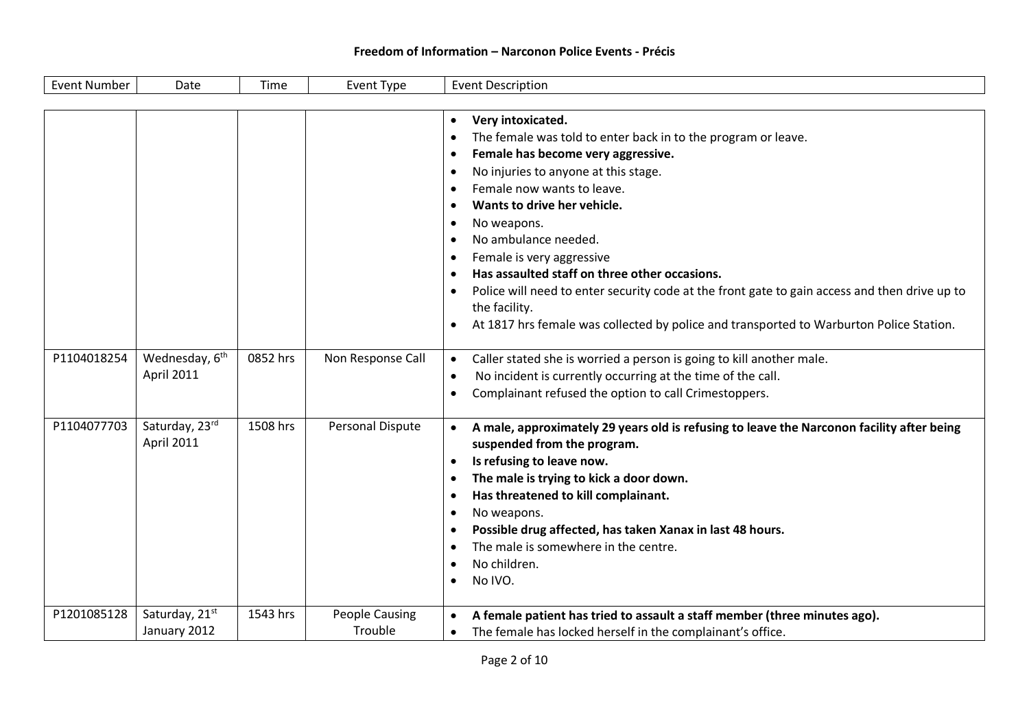| <b>Event Number</b> | Date                       | Time     | <b>Event Type</b>     | <b>Event Description</b>                                                                                   |
|---------------------|----------------------------|----------|-----------------------|------------------------------------------------------------------------------------------------------------|
|                     |                            |          |                       |                                                                                                            |
|                     |                            |          |                       | Very intoxicated.<br>$\bullet$                                                                             |
|                     |                            |          |                       | The female was told to enter back in to the program or leave.<br>$\bullet$                                 |
|                     |                            |          |                       | Female has become very aggressive.<br>$\bullet$                                                            |
|                     |                            |          |                       | No injuries to anyone at this stage.<br>$\bullet$                                                          |
|                     |                            |          |                       | Female now wants to leave.<br>$\bullet$                                                                    |
|                     |                            |          |                       | Wants to drive her vehicle.<br>$\bullet$                                                                   |
|                     |                            |          |                       | No weapons.<br>$\bullet$                                                                                   |
|                     |                            |          |                       | No ambulance needed.<br>$\bullet$                                                                          |
|                     |                            |          |                       | Female is very aggressive<br>$\bullet$                                                                     |
|                     |                            |          |                       | Has assaulted staff on three other occasions.<br>$\bullet$                                                 |
|                     |                            |          |                       | Police will need to enter security code at the front gate to gain access and then drive up to<br>$\bullet$ |
|                     |                            |          |                       | the facility.                                                                                              |
|                     |                            |          |                       | At 1817 hrs female was collected by police and transported to Warburton Police Station.<br>$\bullet$       |
| P1104018254         | Wednesday, 6 <sup>th</sup> | 0852 hrs | Non Response Call     | Caller stated she is worried a person is going to kill another male.<br>$\bullet$                          |
|                     | <b>April 2011</b>          |          |                       | No incident is currently occurring at the time of the call.<br>$\bullet$                                   |
|                     |                            |          |                       | Complainant refused the option to call Crimestoppers.                                                      |
| P1104077703         | Saturday, 23rd             | 1508 hrs | Personal Dispute      | A male, approximately 29 years old is refusing to leave the Narconon facility after being<br>$\bullet$     |
|                     | April 2011                 |          |                       | suspended from the program.                                                                                |
|                     |                            |          |                       | Is refusing to leave now.<br>$\bullet$                                                                     |
|                     |                            |          |                       | The male is trying to kick a door down.<br>$\bullet$                                                       |
|                     |                            |          |                       | Has threatened to kill complainant.<br>$\bullet$                                                           |
|                     |                            |          |                       | No weapons.<br>$\bullet$                                                                                   |
|                     |                            |          |                       | Possible drug affected, has taken Xanax in last 48 hours.<br>$\bullet$                                     |
|                     |                            |          |                       | The male is somewhere in the centre.<br>$\bullet$                                                          |
|                     |                            |          |                       | No children.<br>$\bullet$                                                                                  |
|                     |                            |          |                       | No IVO.<br>$\bullet$                                                                                       |
| P1201085128         | Saturday, 21st             | 1543 hrs | <b>People Causing</b> | A female patient has tried to assault a staff member (three minutes ago).<br>$\bullet$                     |
|                     | January 2012               |          | Trouble               | The female has locked herself in the complainant's office.<br>$\bullet$                                    |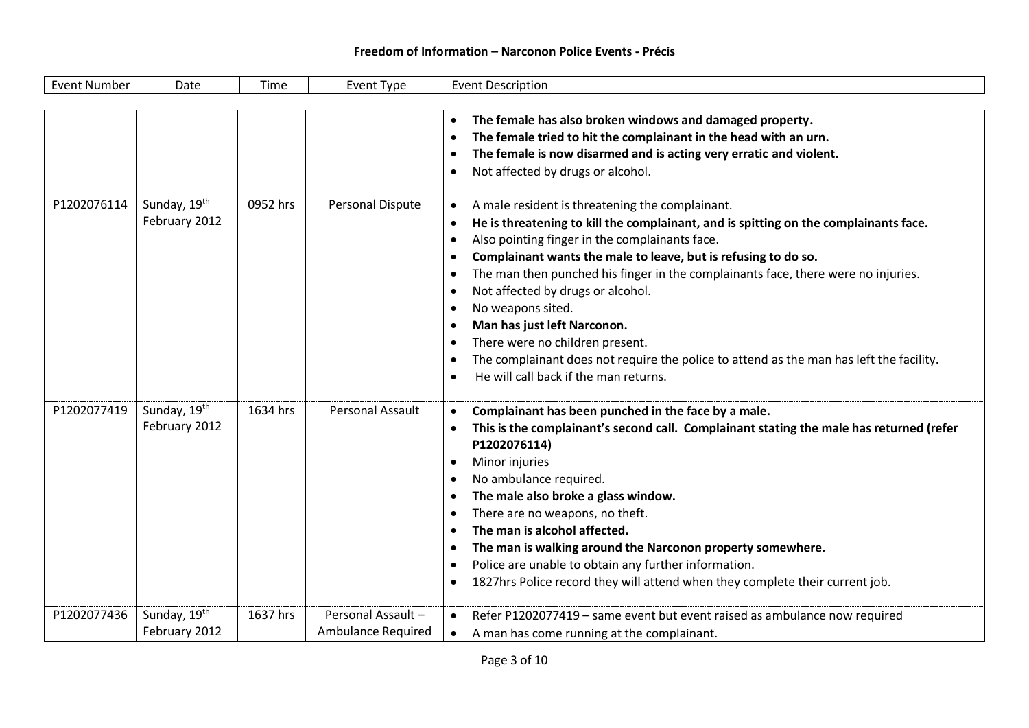| <b>Event Number</b> | Date                          | Time     | Event Type                                     | <b>Event Description</b>                                                                                                                                                                                                                                                                                                                                                                                                                                                                                                                                                                                                                                                                                                                           |
|---------------------|-------------------------------|----------|------------------------------------------------|----------------------------------------------------------------------------------------------------------------------------------------------------------------------------------------------------------------------------------------------------------------------------------------------------------------------------------------------------------------------------------------------------------------------------------------------------------------------------------------------------------------------------------------------------------------------------------------------------------------------------------------------------------------------------------------------------------------------------------------------------|
|                     |                               |          |                                                |                                                                                                                                                                                                                                                                                                                                                                                                                                                                                                                                                                                                                                                                                                                                                    |
|                     |                               |          |                                                | The female has also broken windows and damaged property.<br>$\bullet$<br>The female tried to hit the complainant in the head with an urn.<br>$\bullet$<br>The female is now disarmed and is acting very erratic and violent.<br>٠<br>Not affected by drugs or alcohol.<br>$\bullet$                                                                                                                                                                                                                                                                                                                                                                                                                                                                |
| P1202076114         | Sunday, 19th<br>February 2012 | 0952 hrs | Personal Dispute                               | A male resident is threatening the complainant.<br>$\bullet$<br>He is threatening to kill the complainant, and is spitting on the complainants face.<br>$\bullet$<br>Also pointing finger in the complainants face.<br>$\bullet$<br>Complainant wants the male to leave, but is refusing to do so.<br>$\bullet$<br>The man then punched his finger in the complainants face, there were no injuries.<br>$\bullet$<br>Not affected by drugs or alcohol.<br>$\bullet$<br>No weapons sited.<br>$\bullet$<br>Man has just left Narconon.<br>$\bullet$<br>There were no children present.<br>$\bullet$<br>The complainant does not require the police to attend as the man has left the facility.<br>$\bullet$<br>He will call back if the man returns. |
| P1202077419         | Sunday, 19th<br>February 2012 | 1634 hrs | Personal Assault                               | Complainant has been punched in the face by a male.<br>$\bullet$<br>This is the complainant's second call. Complainant stating the male has returned (refer<br>$\bullet$<br>P1202076114)<br>Minor injuries<br>٠<br>No ambulance required.<br>$\bullet$<br>The male also broke a glass window.<br>$\bullet$<br>There are no weapons, no theft.<br>$\bullet$<br>The man is alcohol affected.<br>$\bullet$<br>The man is walking around the Narconon property somewhere.<br>$\bullet$<br>Police are unable to obtain any further information.<br>$\bullet$<br>1827hrs Police record they will attend when they complete their current job.<br>$\bullet$                                                                                               |
| P1202077436         | Sunday, 19th<br>February 2012 | 1637 hrs | Personal Assault-<br><b>Ambulance Required</b> | Refer P1202077419 - same event but event raised as ambulance now required<br>A man has come running at the complainant.                                                                                                                                                                                                                                                                                                                                                                                                                                                                                                                                                                                                                            |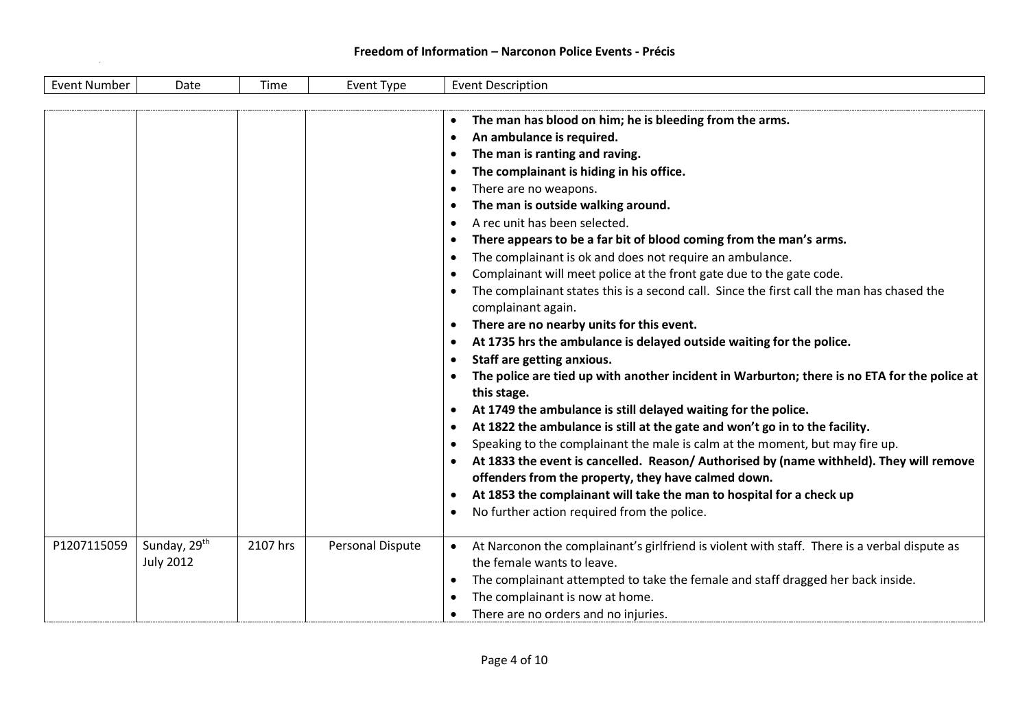| <b>Event Number</b> | Date                                         | Time     | Event Type       | <b>Event Description</b>                                                                                                                                                                                                                                                                                                                                                                                                                                                                                                                                                                                                                                                                                                                                                                                                                                                                                                                                                                                                                                                                                                                                                                                                                                                                                                                                                                                                                                                                                                                                                                                                            |
|---------------------|----------------------------------------------|----------|------------------|-------------------------------------------------------------------------------------------------------------------------------------------------------------------------------------------------------------------------------------------------------------------------------------------------------------------------------------------------------------------------------------------------------------------------------------------------------------------------------------------------------------------------------------------------------------------------------------------------------------------------------------------------------------------------------------------------------------------------------------------------------------------------------------------------------------------------------------------------------------------------------------------------------------------------------------------------------------------------------------------------------------------------------------------------------------------------------------------------------------------------------------------------------------------------------------------------------------------------------------------------------------------------------------------------------------------------------------------------------------------------------------------------------------------------------------------------------------------------------------------------------------------------------------------------------------------------------------------------------------------------------------|
|                     |                                              |          |                  | The man has blood on him; he is bleeding from the arms.<br>٠<br>An ambulance is required.<br>$\bullet$<br>The man is ranting and raving.<br>$\bullet$<br>The complainant is hiding in his office.<br>$\bullet$<br>There are no weapons.<br>$\bullet$<br>The man is outside walking around.<br>$\bullet$<br>A rec unit has been selected.<br>$\bullet$<br>There appears to be a far bit of blood coming from the man's arms.<br>$\bullet$<br>The complainant is ok and does not require an ambulance.<br>$\bullet$<br>Complainant will meet police at the front gate due to the gate code.<br>٠<br>The complainant states this is a second call. Since the first call the man has chased the<br>$\bullet$<br>complainant again.<br>There are no nearby units for this event.<br>٠<br>At 1735 hrs the ambulance is delayed outside waiting for the police.<br>$\bullet$<br>Staff are getting anxious.<br>$\bullet$<br>The police are tied up with another incident in Warburton; there is no ETA for the police at<br>$\bullet$<br>this stage.<br>At 1749 the ambulance is still delayed waiting for the police.<br>$\bullet$<br>At 1822 the ambulance is still at the gate and won't go in to the facility.<br>$\bullet$<br>Speaking to the complainant the male is calm at the moment, but may fire up.<br>$\bullet$<br>At 1833 the event is cancelled. Reason/Authorised by (name withheld). They will remove<br>$\bullet$<br>offenders from the property, they have calmed down.<br>At 1853 the complainant will take the man to hospital for a check up<br>$\bullet$<br>No further action required from the police.<br>$\bullet$ |
| P1207115059         | Sunday, 29 <sup>th</sup><br><b>July 2012</b> | 2107 hrs | Personal Dispute | At Narconon the complainant's girlfriend is violent with staff. There is a verbal dispute as<br>$\bullet$<br>the female wants to leave.<br>The complainant attempted to take the female and staff dragged her back inside.<br>$\bullet$<br>The complainant is now at home.<br>$\bullet$<br>There are no orders and no injuries.<br>$\bullet$                                                                                                                                                                                                                                                                                                                                                                                                                                                                                                                                                                                                                                                                                                                                                                                                                                                                                                                                                                                                                                                                                                                                                                                                                                                                                        |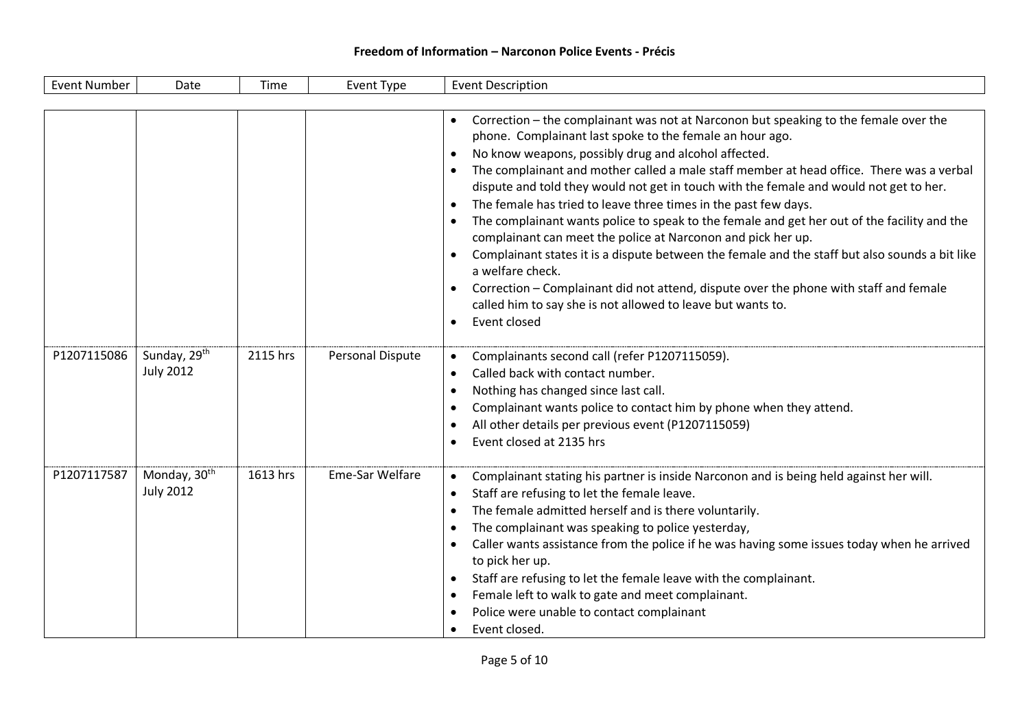| <b>Event Number</b> | Date                                         | Time     | Event Type       | <b>Event Description</b>                                                                                                                                                                                                                                                                                                                                                                                                                                                                                                                                                                                                                                                                                                                                                                                                                                                                                                                                                                        |
|---------------------|----------------------------------------------|----------|------------------|-------------------------------------------------------------------------------------------------------------------------------------------------------------------------------------------------------------------------------------------------------------------------------------------------------------------------------------------------------------------------------------------------------------------------------------------------------------------------------------------------------------------------------------------------------------------------------------------------------------------------------------------------------------------------------------------------------------------------------------------------------------------------------------------------------------------------------------------------------------------------------------------------------------------------------------------------------------------------------------------------|
|                     |                                              |          |                  |                                                                                                                                                                                                                                                                                                                                                                                                                                                                                                                                                                                                                                                                                                                                                                                                                                                                                                                                                                                                 |
|                     |                                              |          |                  | Correction - the complainant was not at Narconon but speaking to the female over the<br>phone. Complainant last spoke to the female an hour ago.<br>No know weapons, possibly drug and alcohol affected.<br>$\bullet$<br>The complainant and mother called a male staff member at head office. There was a verbal<br>$\bullet$<br>dispute and told they would not get in touch with the female and would not get to her.<br>The female has tried to leave three times in the past few days.<br>$\bullet$<br>The complainant wants police to speak to the female and get her out of the facility and the<br>$\bullet$<br>complainant can meet the police at Narconon and pick her up.<br>Complainant states it is a dispute between the female and the staff but also sounds a bit like<br>a welfare check.<br>Correction - Complainant did not attend, dispute over the phone with staff and female<br>called him to say she is not allowed to leave but wants to.<br>Event closed<br>$\bullet$ |
| P1207115086         | Sunday, 29 <sup>th</sup><br><b>July 2012</b> | 2115 hrs | Personal Dispute | Complainants second call (refer P1207115059).<br>$\bullet$<br>Called back with contact number.<br>$\bullet$<br>Nothing has changed since last call.<br>$\bullet$<br>Complainant wants police to contact him by phone when they attend.<br>$\bullet$<br>All other details per previous event (P1207115059)<br>$\bullet$<br>Event closed at 2135 hrs<br>$\bullet$                                                                                                                                                                                                                                                                                                                                                                                                                                                                                                                                                                                                                                 |
| P1207117587         | Monday, 30 <sup>th</sup><br><b>July 2012</b> | 1613 hrs | Eme-Sar Welfare  | Complainant stating his partner is inside Narconon and is being held against her will.<br>$\bullet$<br>Staff are refusing to let the female leave.<br>$\bullet$<br>The female admitted herself and is there voluntarily.<br>$\bullet$<br>The complainant was speaking to police yesterday,<br>$\bullet$<br>Caller wants assistance from the police if he was having some issues today when he arrived<br>$\bullet$<br>to pick her up.<br>Staff are refusing to let the female leave with the complainant.<br>$\bullet$<br>Female left to walk to gate and meet complainant.<br>$\bullet$<br>Police were unable to contact complainant<br>$\bullet$<br>Event closed.<br>$\bullet$                                                                                                                                                                                                                                                                                                                |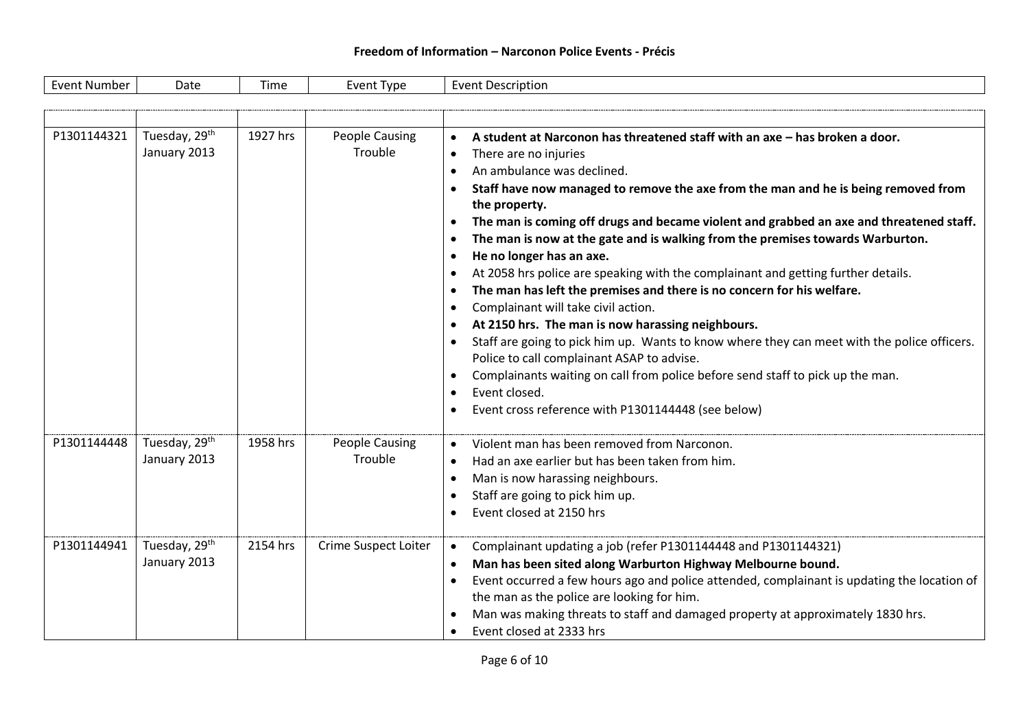| Event Number | Date | . ime | <u>Ivpe</u><br>FVAN. | Description<br>⊦vent |
|--------------|------|-------|----------------------|----------------------|
|--------------|------|-------|----------------------|----------------------|

| P1301144321 | Tuesday, 29 <sup>th</sup><br>January 2013 | 1927 hrs | People Causing<br>Trouble        | A student at Narconon has threatened staff with an axe - has broken a door.<br>$\bullet$<br>There are no injuries<br>$\bullet$<br>An ambulance was declined.<br>$\bullet$<br>Staff have now managed to remove the axe from the man and he is being removed from<br>the property.<br>The man is coming off drugs and became violent and grabbed an axe and threatened staff.<br>$\bullet$<br>The man is now at the gate and is walking from the premises towards Warburton.<br>$\bullet$<br>He no longer has an axe.<br>$\bullet$<br>At 2058 hrs police are speaking with the complainant and getting further details.<br>$\bullet$<br>The man has left the premises and there is no concern for his welfare.<br>$\bullet$<br>Complainant will take civil action.<br>$\bullet$<br>At 2150 hrs. The man is now harassing neighbours.<br>$\bullet$<br>Staff are going to pick him up. Wants to know where they can meet with the police officers.<br>$\bullet$<br>Police to call complainant ASAP to advise.<br>Complainants waiting on call from police before send staff to pick up the man.<br>Event closed.<br>$\bullet$<br>Event cross reference with P1301144448 (see below) |
|-------------|-------------------------------------------|----------|----------------------------------|---------------------------------------------------------------------------------------------------------------------------------------------------------------------------------------------------------------------------------------------------------------------------------------------------------------------------------------------------------------------------------------------------------------------------------------------------------------------------------------------------------------------------------------------------------------------------------------------------------------------------------------------------------------------------------------------------------------------------------------------------------------------------------------------------------------------------------------------------------------------------------------------------------------------------------------------------------------------------------------------------------------------------------------------------------------------------------------------------------------------------------------------------------------------------------|
| P1301144448 | Tuesday, 29 <sup>th</sup><br>January 2013 | 1958 hrs | <b>People Causing</b><br>Trouble | Violent man has been removed from Narconon.<br>$\bullet$<br>Had an axe earlier but has been taken from him.<br>$\bullet$<br>Man is now harassing neighbours.<br>$\bullet$<br>Staff are going to pick him up.<br>Event closed at 2150 hrs                                                                                                                                                                                                                                                                                                                                                                                                                                                                                                                                                                                                                                                                                                                                                                                                                                                                                                                                        |
| P1301144941 | Tuesday, 29th<br>January 2013             | 2154 hrs | <b>Crime Suspect Loiter</b>      | Complainant updating a job (refer P1301144448 and P1301144321)<br>$\bullet$<br>Man has been sited along Warburton Highway Melbourne bound.<br>$\bullet$<br>Event occurred a few hours ago and police attended, complainant is updating the location of<br>$\bullet$<br>the man as the police are looking for him.<br>Man was making threats to staff and damaged property at approximately 1830 hrs.<br>$\bullet$<br>Event closed at 2333 hrs                                                                                                                                                                                                                                                                                                                                                                                                                                                                                                                                                                                                                                                                                                                                   |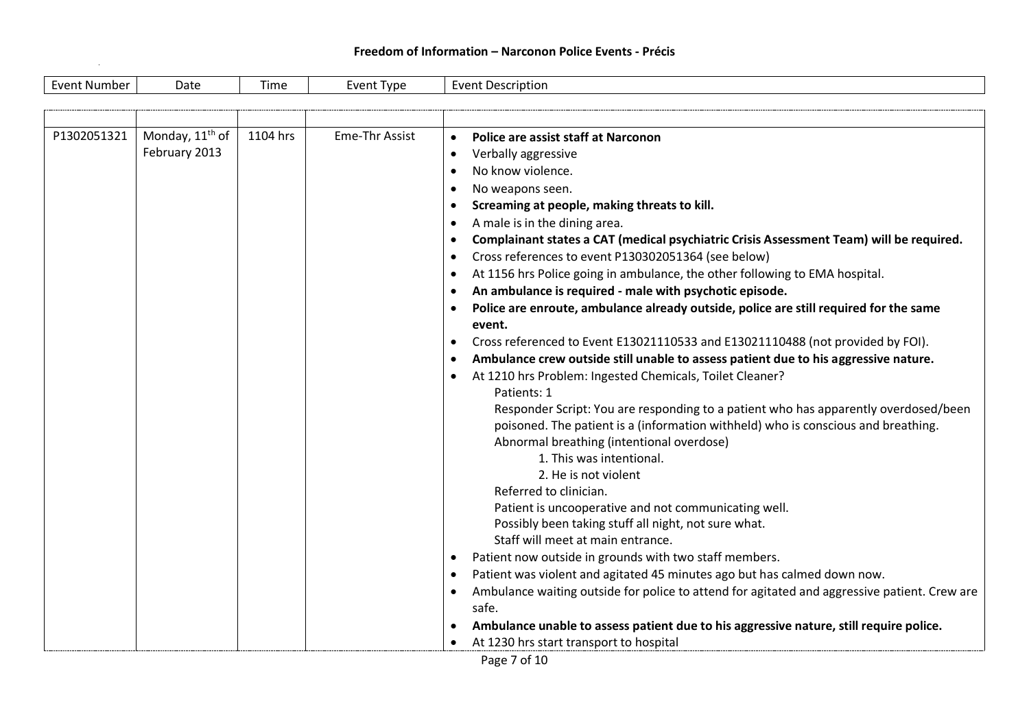| Monday, 11 <sup>th</sup> of<br>1104 hrs<br>P1302051321<br><b>Eme-Thr Assist</b><br>Police are assist staff at Narconon<br>$\bullet$<br>February 2013<br>Verbally aggressive<br>$\bullet$<br>No know violence.<br>$\bullet$<br>No weapons seen.<br>$\bullet$<br>Screaming at people, making threats to kill.<br>$\bullet$<br>A male is in the dining area.<br>$\bullet$<br>$\bullet$<br>Cross references to event P130302051364 (see below)<br>$\bullet$<br>At 1156 hrs Police going in ambulance, the other following to EMA hospital.<br>$\bullet$<br>An ambulance is required - male with psychotic episode.<br>$\bullet$<br>event.<br>Cross referenced to Event E13021110533 and E13021110488 (not provided by FOI).<br>$\bullet$<br>Ambulance crew outside still unable to assess patient due to his aggressive nature.<br>$\bullet$<br>At 1210 hrs Problem: Ingested Chemicals, Toilet Cleaner?<br>$\bullet$<br>Patients: 1<br>Abnormal breathing (intentional overdose)<br>1. This was intentional.<br>2. He is not violent | <b>Event Number</b> | Date | Time | Event Type | <b>Event Description</b>                                                                                                                                                                                                                                                                                                                                                                                                                                                               |
|-----------------------------------------------------------------------------------------------------------------------------------------------------------------------------------------------------------------------------------------------------------------------------------------------------------------------------------------------------------------------------------------------------------------------------------------------------------------------------------------------------------------------------------------------------------------------------------------------------------------------------------------------------------------------------------------------------------------------------------------------------------------------------------------------------------------------------------------------------------------------------------------------------------------------------------------------------------------------------------------------------------------------------------|---------------------|------|------|------------|----------------------------------------------------------------------------------------------------------------------------------------------------------------------------------------------------------------------------------------------------------------------------------------------------------------------------------------------------------------------------------------------------------------------------------------------------------------------------------------|
|                                                                                                                                                                                                                                                                                                                                                                                                                                                                                                                                                                                                                                                                                                                                                                                                                                                                                                                                                                                                                                   |                     |      |      |            |                                                                                                                                                                                                                                                                                                                                                                                                                                                                                        |
|                                                                                                                                                                                                                                                                                                                                                                                                                                                                                                                                                                                                                                                                                                                                                                                                                                                                                                                                                                                                                                   |                     |      |      |            |                                                                                                                                                                                                                                                                                                                                                                                                                                                                                        |
| Patient is uncooperative and not communicating well.<br>Possibly been taking stuff all night, not sure what.<br>Staff will meet at main entrance.<br>Patient now outside in grounds with two staff members.<br>$\bullet$<br>Patient was violent and agitated 45 minutes ago but has calmed down now.<br>$\bullet$<br>$\bullet$                                                                                                                                                                                                                                                                                                                                                                                                                                                                                                                                                                                                                                                                                                    |                     |      |      |            | Complainant states a CAT (medical psychiatric Crisis Assessment Team) will be required.<br>Police are enroute, ambulance already outside, police are still required for the same<br>Responder Script: You are responding to a patient who has apparently overdosed/been<br>poisoned. The patient is a (information withheld) who is conscious and breathing.<br>Referred to clinician.<br>Ambulance waiting outside for police to attend for agitated and aggressive patient. Crew are |
| safe.<br>At 1230 hrs start transport to hospital<br>$\bullet$                                                                                                                                                                                                                                                                                                                                                                                                                                                                                                                                                                                                                                                                                                                                                                                                                                                                                                                                                                     |                     |      |      |            | Ambulance unable to assess patient due to his aggressive nature, still require police.                                                                                                                                                                                                                                                                                                                                                                                                 |

Page 7 of 10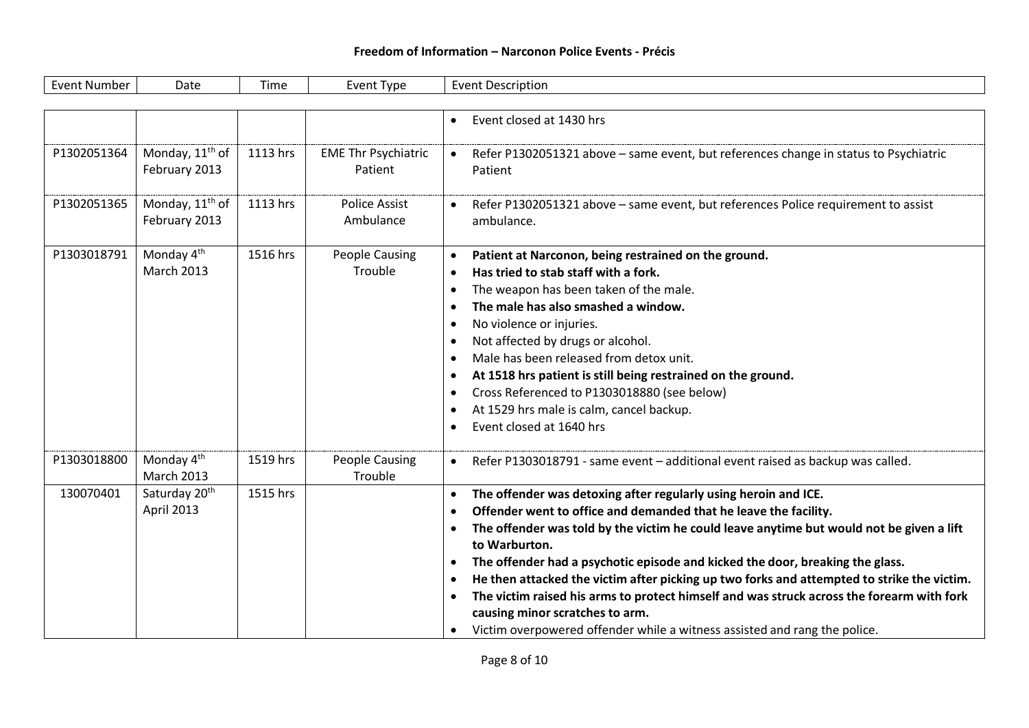| <b>Event Number</b> | Date                                         | Time     | Event Type                            | <b>Event Description</b>                                                                                                                                                                                                                                                                                                                                                                                                                                                                                                                                                                                                                                                                                                                |
|---------------------|----------------------------------------------|----------|---------------------------------------|-----------------------------------------------------------------------------------------------------------------------------------------------------------------------------------------------------------------------------------------------------------------------------------------------------------------------------------------------------------------------------------------------------------------------------------------------------------------------------------------------------------------------------------------------------------------------------------------------------------------------------------------------------------------------------------------------------------------------------------------|
|                     |                                              |          |                                       |                                                                                                                                                                                                                                                                                                                                                                                                                                                                                                                                                                                                                                                                                                                                         |
|                     |                                              |          |                                       | Event closed at 1430 hrs<br>$\bullet$                                                                                                                                                                                                                                                                                                                                                                                                                                                                                                                                                                                                                                                                                                   |
| P1302051364         | Monday, 11 <sup>th</sup> of<br>February 2013 | 1113 hrs | <b>EME Thr Psychiatric</b><br>Patient | Refer P1302051321 above - same event, but references change in status to Psychiatric<br>$\bullet$<br>Patient                                                                                                                                                                                                                                                                                                                                                                                                                                                                                                                                                                                                                            |
| P1302051365         | Monday, 11 <sup>th</sup> of<br>February 2013 | 1113 hrs | <b>Police Assist</b><br>Ambulance     | Refer P1302051321 above - same event, but references Police requirement to assist<br>ambulance.                                                                                                                                                                                                                                                                                                                                                                                                                                                                                                                                                                                                                                         |
| P1303018791         | Monday 4 <sup>th</sup><br><b>March 2013</b>  | 1516 hrs | <b>People Causing</b><br>Trouble      | Patient at Narconon, being restrained on the ground.<br>$\bullet$<br>Has tried to stab staff with a fork.<br>$\bullet$<br>The weapon has been taken of the male.<br>$\bullet$<br>The male has also smashed a window.<br>$\bullet$<br>No violence or injuries.<br>$\bullet$<br>Not affected by drugs or alcohol.<br>$\bullet$<br>Male has been released from detox unit.<br>$\bullet$<br>At 1518 hrs patient is still being restrained on the ground.<br>$\bullet$<br>Cross Referenced to P1303018880 (see below)<br>$\bullet$<br>At 1529 hrs male is calm, cancel backup.<br>$\bullet$<br>Event closed at 1640 hrs<br>$\bullet$                                                                                                         |
| P1303018800         | Monday 4 <sup>th</sup><br>March 2013         | 1519 hrs | <b>People Causing</b><br>Trouble      | Refer P1303018791 - same event - additional event raised as backup was called.<br>$\bullet$                                                                                                                                                                                                                                                                                                                                                                                                                                                                                                                                                                                                                                             |
| 130070401           | Saturday 20 <sup>th</sup><br>April 2013      | 1515 hrs |                                       | The offender was detoxing after regularly using heroin and ICE.<br>$\bullet$<br>Offender went to office and demanded that he leave the facility.<br>$\bullet$<br>The offender was told by the victim he could leave anytime but would not be given a lift<br>$\bullet$<br>to Warburton.<br>The offender had a psychotic episode and kicked the door, breaking the glass.<br>$\bullet$<br>He then attacked the victim after picking up two forks and attempted to strike the victim.<br>$\bullet$<br>The victim raised his arms to protect himself and was struck across the forearm with fork<br>$\bullet$<br>causing minor scratches to arm.<br>Victim overpowered offender while a witness assisted and rang the police.<br>$\bullet$ |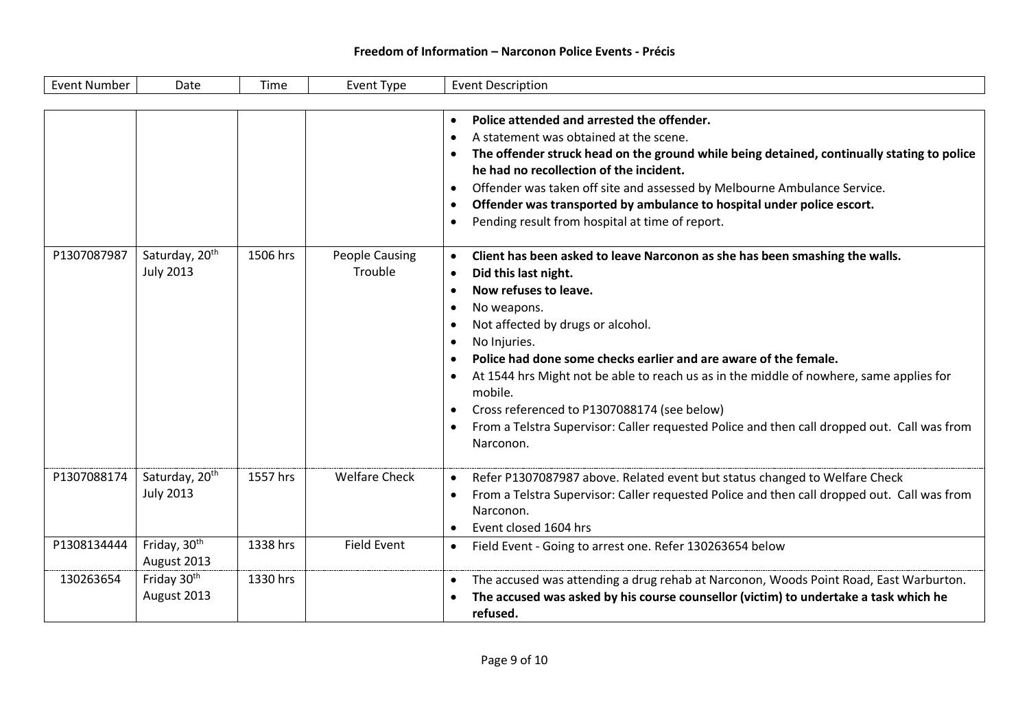| <b>Event Number</b>        | Date                                                                       | Time                 | Event Type                                 | <b>Event Description</b>                                                                                                                                                                                                                                                                                                                                                                                                                                                                                                                                                                                                                                                                                                                                                                                                                                                                                                                                                                                                                                                                                                                                                           |
|----------------------------|----------------------------------------------------------------------------|----------------------|--------------------------------------------|------------------------------------------------------------------------------------------------------------------------------------------------------------------------------------------------------------------------------------------------------------------------------------------------------------------------------------------------------------------------------------------------------------------------------------------------------------------------------------------------------------------------------------------------------------------------------------------------------------------------------------------------------------------------------------------------------------------------------------------------------------------------------------------------------------------------------------------------------------------------------------------------------------------------------------------------------------------------------------------------------------------------------------------------------------------------------------------------------------------------------------------------------------------------------------|
|                            |                                                                            |                      |                                            |                                                                                                                                                                                                                                                                                                                                                                                                                                                                                                                                                                                                                                                                                                                                                                                                                                                                                                                                                                                                                                                                                                                                                                                    |
| P1307087987                | Saturday, 20 <sup>th</sup><br><b>July 2013</b>                             | 1506 hrs             | <b>People Causing</b><br>Trouble           | Police attended and arrested the offender.<br>$\bullet$<br>A statement was obtained at the scene.<br>$\bullet$<br>The offender struck head on the ground while being detained, continually stating to police<br>$\bullet$<br>he had no recollection of the incident.<br>Offender was taken off site and assessed by Melbourne Ambulance Service.<br>$\bullet$<br>Offender was transported by ambulance to hospital under police escort.<br>$\bullet$<br>Pending result from hospital at time of report.<br>$\bullet$<br>Client has been asked to leave Narconon as she has been smashing the walls.<br>$\bullet$<br>Did this last night.<br>$\bullet$<br>Now refuses to leave.<br>$\bullet$<br>No weapons.<br>$\bullet$<br>Not affected by drugs or alcohol.<br>$\bullet$<br>No Injuries.<br>$\bullet$<br>Police had done some checks earlier and are aware of the female.<br>$\bullet$<br>At 1544 hrs Might not be able to reach us as in the middle of nowhere, same applies for<br>$\bullet$<br>mobile.<br>Cross referenced to P1307088174 (see below)<br>$\bullet$<br>From a Telstra Supervisor: Caller requested Police and then call dropped out. Call was from<br>Narconon. |
| P1307088174<br>P1308134444 | Saturday, 20 <sup>th</sup><br><b>July 2013</b><br>Friday, 30 <sup>th</sup> | 1557 hrs<br>1338 hrs | <b>Welfare Check</b><br><b>Field Event</b> | Refer P1307087987 above. Related event but status changed to Welfare Check<br>$\bullet$<br>From a Telstra Supervisor: Caller requested Police and then call dropped out. Call was from<br>$\bullet$<br>Narconon.<br>Event closed 1604 hrs<br>$\bullet$<br>Field Event - Going to arrest one. Refer 130263654 below<br>$\bullet$                                                                                                                                                                                                                                                                                                                                                                                                                                                                                                                                                                                                                                                                                                                                                                                                                                                    |
|                            | August 2013                                                                |                      |                                            |                                                                                                                                                                                                                                                                                                                                                                                                                                                                                                                                                                                                                                                                                                                                                                                                                                                                                                                                                                                                                                                                                                                                                                                    |
| 130263654                  | Friday 30th<br>August 2013                                                 | 1330 hrs             |                                            | The accused was attending a drug rehab at Narconon, Woods Point Road, East Warburton.<br>$\bullet$<br>The accused was asked by his course counsellor (victim) to undertake a task which he<br>$\bullet$<br>refused.                                                                                                                                                                                                                                                                                                                                                                                                                                                                                                                                                                                                                                                                                                                                                                                                                                                                                                                                                                |